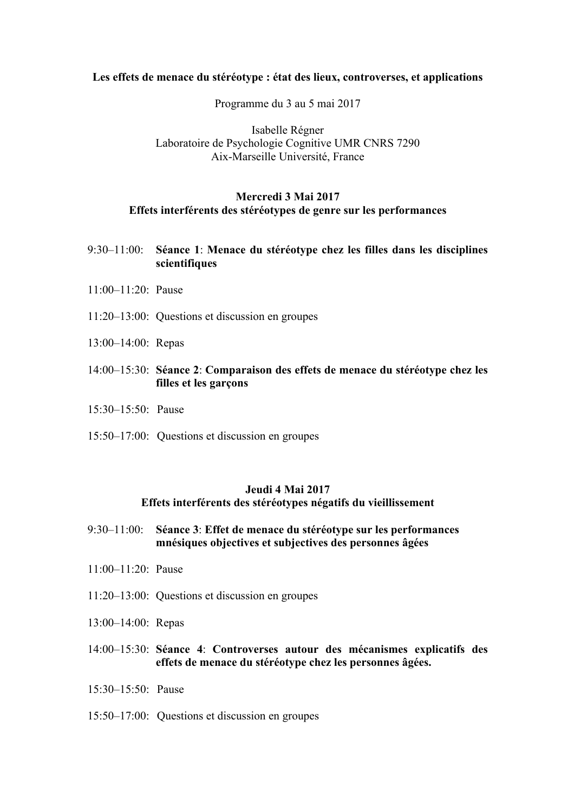### **Les effets de menace du stéréotype : état des lieux, controverses, et applications**

Programme du 3 au 5 mai 2017

Isabelle Régner Laboratoire de Psychologie Cognitive UMR CNRS 7290 Aix-Marseille Université, France

# **Mercredi 3 Mai 2017 Effets interférents des stéréotypes de genre sur les performances**

- 9:30–11:00: **Séance 1**: **Menace du stéréotype chez les filles dans les disciplines scientifiques**
- 11:00–11:20: Pause
- 11:20–13:00: Questions et discussion en groupes
- 13:00–14:00: Repas
- 14:00–15:30: **Séance 2**: **Comparaison des effets de menace du stéréotype chez les filles et les garçons**
- 15:30–15:50: Pause
- 15:50–17:00: Questions et discussion en groupes

# **Jeudi 4 Mai 2017**

# **Effets interférents des stéréotypes négatifs du vieillissement**

- 9:30–11:00: **Séance 3**: **Effet de menace du stéréotype sur les performances mnésiques objectives et subjectives des personnes âgées**
- 11:00–11:20: Pause
- 11:20–13:00: Questions et discussion en groupes
- 13:00–14:00: Repas
- 14:00–15:30: **Séance 4**: **Controverses autour des mécanismes explicatifs des effets de menace du stéréotype chez les personnes âgées.**
- 15:30–15:50: Pause
- 15:50–17:00: Questions et discussion en groupes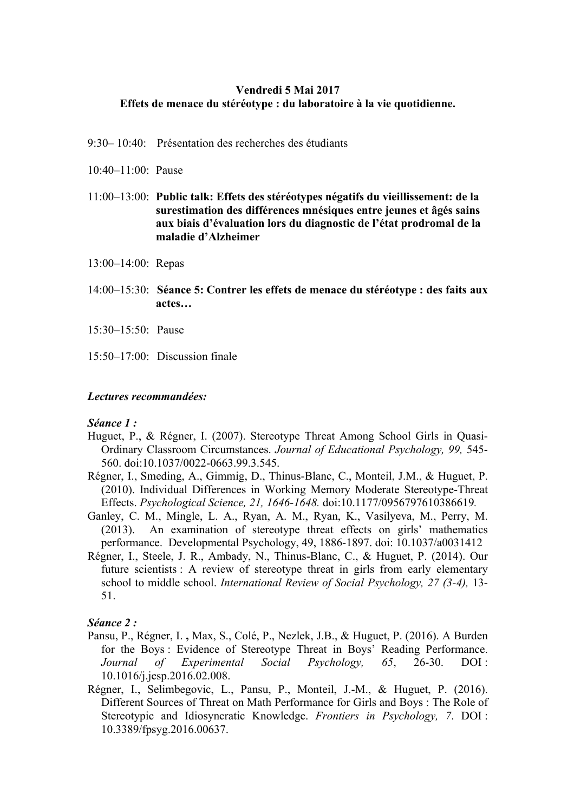# **Vendredi 5 Mai 2017 Effets de menace du stéréotype : du laboratoire à la vie quotidienne.**

- 9:30– 10:40: Présentation des recherches des étudiants
- 10:40–11:00: Pause
- 11:00–13:00: **Public talk: Effets des stéréotypes négatifs du vieillissement: de la surestimation des différences mnésiques entre jeunes et âgés sains aux biais d'évaluation lors du diagnostic de l'état prodromal de la maladie d'Alzheimer**
- 13:00–14:00: Repas
- 14:00–15:30: **Séance 5: Contrer les effets de menace du stéréotype : des faits aux actes…**
- 15:30–15:50: Pause
- 15:50–17:00: Discussion finale

### *Lectures recommandées:*

#### *Séance 1 :*

- Huguet, P., & Régner, I. (2007). Stereotype Threat Among School Girls in Quasi-Ordinary Classroom Circumstances. *Journal of Educational Psychology, 99,* 545- 560. doi:10.1037/0022-0663.99.3.545.
- Régner, I., Smeding, A., Gimmig, D., Thinus-Blanc, C., Monteil, J.M., & Huguet, P. (2010). Individual Differences in Working Memory Moderate Stereotype-Threat Effects. *Psychological Science, 21, 1646-1648.* doi:10.1177/0956797610386619*.*
- Ganley, C. M., Mingle, L. A., Ryan, A. M., Ryan, K., Vasilyeva, M., Perry, M. (2013). An examination of stereotype threat effects on girls' mathematics performance. Developmental Psychology, 49, 1886-1897. doi: 10.1037/a0031412
- Régner, I., Steele, J. R., Ambady, N., Thinus-Blanc, C., & Huguet, P. (2014). Our future scientists : A review of stereotype threat in girls from early elementary school to middle school. *International Review of Social Psychology, 27 (3-4),* 13- 51.

#### *Séance 2 :*

- Pansu, P., Régner, I. **,** Max, S., Colé, P., Nezlek, J.B., & Huguet, P. (2016). A Burden for the Boys : Evidence of Stereotype Threat in Boys' Reading Performance. *Journal of Experimental Social Psychology, 65*, 26-30. DOI : 10.1016/j.jesp.2016.02.008.
- Régner, I., Selimbegovic, L., Pansu, P., Monteil, J.-M., & Huguet, P. (2016). Different Sources of Threat on Math Performance for Girls and Boys : The Role of Stereotypic and Idiosyncratic Knowledge. *Frontiers in Psychology, 7*. DOI : 10.3389/fpsyg.2016.00637.